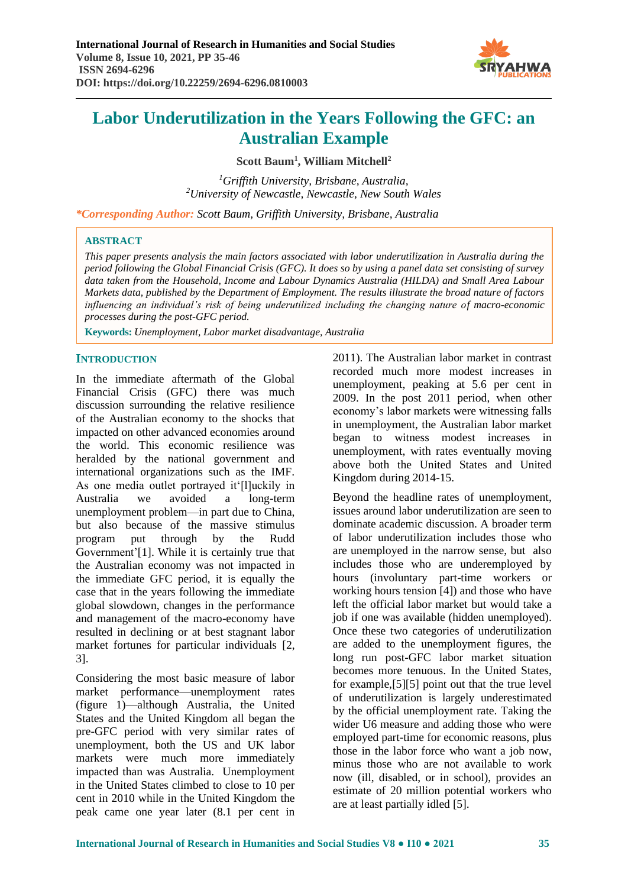

**Scott Baum<sup>1</sup> , William Mitchell<sup>2</sup>**

*<sup>1</sup>Griffith University, Brisbane, Australia, <sup>2</sup>University of Newcastle, Newcastle, New South Wales*

*\*Corresponding Author: Scott Baum, Griffith University, Brisbane, Australia*

## **ABSTRACT**

*This paper presents analysis the main factors associated with labor underutilization in Australia during the period following the Global Financial Crisis (GFC). It does so by using a panel data set consisting of survey data taken from the Household, Income and Labour Dynamics Australia (HILDA) and Small Area Labour Markets data, published by the Department of Employment. The results illustrate the broad nature of factors influencing an individual's risk of being underutilized including the changing nature of macro-economic processes during the post-GFC period.* 

**Keywords:** *Unemployment, Labor market disadvantage, Australia*

# **INTRODUCTION**

In the immediate aftermath of the Global Financial Crisis (GFC) there was much discussion surrounding the relative resilience of the Australian economy to the shocks that impacted on other advanced economies around the world. This economic resilience was heralded by the national government and international organizations such as the IMF. As one media outlet portrayed it'[l]uckily in Australia we avoided a long-term unemployment problem—in part due to China, but also because of the massive stimulus program put through by the Rudd Government'[1]. While it is certainly true that the Australian economy was not impacted in the immediate GFC period, it is equally the case that in the years following the immediate global slowdown, changes in the performance and management of the macro-economy have resulted in declining or at best stagnant labor market fortunes for particular individuals [2, 3].

Considering the most basic measure of labor market performance—unemployment rates (figure 1)—although Australia, the United States and the United Kingdom all began the pre-GFC period with very similar rates of unemployment, both the US and UK labor markets were much more immediately impacted than was Australia. Unemployment in the United States climbed to close to 10 per cent in 2010 while in the United Kingdom the peak came one year later (8.1 per cent in 2011). The Australian labor market in contrast recorded much more modest increases in unemployment, peaking at 5.6 per cent in 2009. In the post 2011 period, when other economy's labor markets were witnessing falls in unemployment, the Australian labor market began to witness modest increases in unemployment, with rates eventually moving above both the United States and United Kingdom during 2014-15.

Beyond the headline rates of unemployment, issues around labor underutilization are seen to dominate academic discussion. A broader term of labor underutilization includes those who are unemployed in the narrow sense, but also includes those who are underemployed by hours (involuntary part-time workers or working hours tension [4]) and those who have left the official labor market but would take a job if one was available (hidden unemployed). Once these two categories of underutilization are added to the unemployment figures, the long run post-GFC labor market situation becomes more tenuous. In the United States, for example,[5][5] point out that the true level of underutilization is largely underestimated by the official unemployment rate. Taking the wider U6 measure and adding those who were employed part-time for economic reasons, plus those in the labor force who want a job now, minus those who are not available to work now (ill, disabled, or in school), provides an estimate of 20 million potential workers who are at least partially idled [5].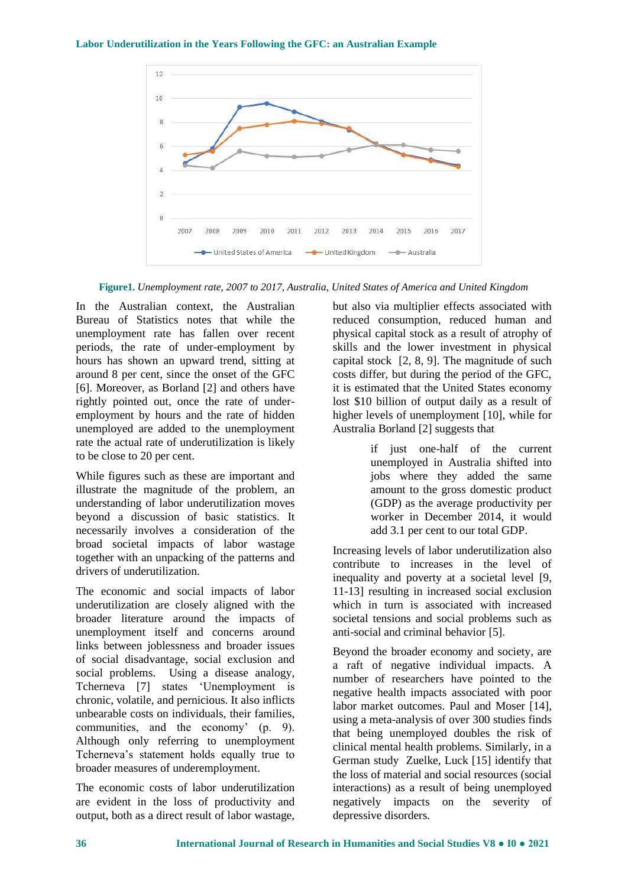

**Figure1.** *Unemployment rate, 2007 to 2017, Australia, United States of America and United Kingdom*

In the Australian context, the Australian Bureau of Statistics notes that while the unemployment rate has fallen over recent periods, the rate of under-employment by hours has shown an upward trend, sitting at around 8 per cent, since the onset of the GFC [6]. Moreover, as Borland [2] and others have rightly pointed out, once the rate of underemployment by hours and the rate of hidden unemployed are added to the unemployment rate the actual rate of underutilization is likely to be close to 20 per cent.

While figures such as these are important and illustrate the magnitude of the problem, an understanding of labor underutilization moves beyond a discussion of basic statistics. It necessarily involves a consideration of the broad societal impacts of labor wastage together with an unpacking of the patterns and drivers of underutilization.

The economic and social impacts of labor underutilization are closely aligned with the broader literature around the impacts of unemployment itself and concerns around links between joblessness and broader issues of social disadvantage, social exclusion and social problems. Using a disease analogy, Tcherneva [7] states 'Unemployment is chronic, volatile, and pernicious. It also inflicts unbearable costs on individuals, their families, communities, and the economy' (p. 9). Although only referring to unemployment Tcherneva's statement holds equally true to broader measures of underemployment.

The economic costs of labor underutilization are evident in the loss of productivity and output, both as a direct result of labor wastage,

but also via multiplier effects associated with reduced consumption, reduced human and physical capital stock as a result of atrophy of skills and the lower investment in physical capital stock [2, 8, 9]. The magnitude of such costs differ, but during the period of the GFC, it is estimated that the United States economy lost \$10 billion of output daily as a result of higher levels of unemployment [10], while for Australia Borland [2] suggests that

> if just one-half of the current unemployed in Australia shifted into jobs where they added the same amount to the gross domestic product (GDP) as the average productivity per worker in December 2014, it would add 3.1 per cent to our total GDP.

Increasing levels of labor underutilization also contribute to increases in the level of inequality and poverty at a societal level [9, 11-13] resulting in increased social exclusion which in turn is associated with increased societal tensions and social problems such as anti-social and criminal behavior [5].

Beyond the broader economy and society, are a raft of negative individual impacts. A number of researchers have pointed to the negative health impacts associated with poor labor market outcomes. Paul and Moser [14], using a meta-analysis of over 300 studies finds that being unemployed doubles the risk of clinical mental health problems. Similarly, in a German study Zuelke, Luck [15] identify that the loss of material and social resources (social interactions) as a result of being unemployed negatively impacts on the severity of depressive disorders.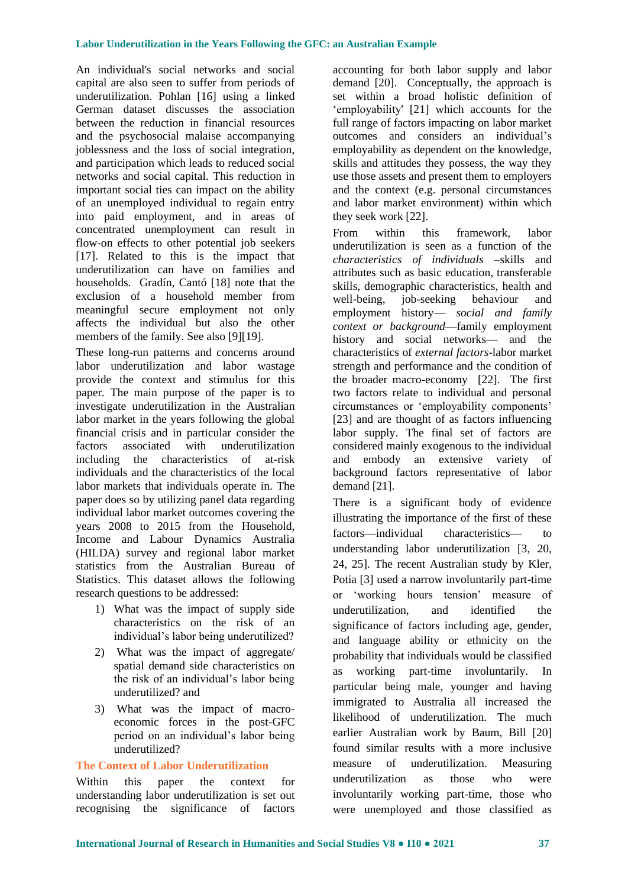An individual's social networks and social capital are also seen to suffer from periods of underutilization. Pohlan [16] using a linked German dataset discusses the association between the reduction in financial resources and the psychosocial malaise accompanying joblessness and the loss of social integration, and participation which leads to reduced social networks and social capital. This reduction in important social ties can impact on the ability of an unemployed individual to regain entry into paid employment, and in areas of concentrated unemployment can result in flow-on effects to other potential job seekers [17]. Related to this is the impact that underutilization can have on families and households. Gradín, Cantó [18] note that the exclusion of a household member from meaningful secure employment not only affects the individual but also the other members of the family. See also [9][19].

These long-run patterns and concerns around labor underutilization and labor wastage provide the context and stimulus for this paper. The main purpose of the paper is to investigate underutilization in the Australian labor market in the years following the global financial crisis and in particular consider the factors associated with underutilization including the characteristics of at-risk individuals and the characteristics of the local labor markets that individuals operate in. The paper does so by utilizing panel data regarding individual labor market outcomes covering the years 2008 to 2015 from the Household, Income and Labour Dynamics Australia (HILDA) survey and regional labor market statistics from the Australian Bureau of Statistics. This dataset allows the following research questions to be addressed:

- 1) What was the impact of supply side characteristics on the risk of an individual's labor being underutilized?
- 2) What was the impact of aggregate/ spatial demand side characteristics on the risk of an individual's labor being underutilized? and
- 3) What was the impact of macroeconomic forces in the post-GFC period on an individual's labor being underutilized?

## **The Context of Labor Underutilization**

Within this paper the context for understanding labor underutilization is set out recognising the significance of factors accounting for both labor supply and labor demand [20]. Conceptually, the approach is set within a broad holistic definition of 'employability' [21] which accounts for the full range of factors impacting on labor market outcomes and considers an individual's employability as dependent on the knowledge, skills and attitudes they possess, the way they use those assets and present them to employers and the context (e.g. personal circumstances and labor market environment) within which they seek work [22].

From within this framework, labor underutilization is seen as a function of the *characteristics of individuals* –skills and attributes such as basic education, transferable skills, demographic characteristics, health and well-being, job-seeking behaviour and employment history— *social and family context or background*—family employment history and social networks— and the characteristics of *external factors*-labor market strength and performance and the condition of the broader macro-economy [22]. The first two factors relate to individual and personal circumstances or 'employability components' [23] and are thought of as factors influencing labor supply. The final set of factors are considered mainly exogenous to the individual and embody an extensive variety of background factors representative of labor demand [21].

There is a significant body of evidence illustrating the importance of the first of these factors—individual characteristics— to understanding labor underutilization [3, 20, 24, 25]. The recent Australian study by Kler, Potia [3] used a narrow involuntarily part-time or 'working hours tension' measure of underutilization, and identified the significance of factors including age, gender, and language ability or ethnicity on the probability that individuals would be classified as working part-time involuntarily. In particular being male, younger and having immigrated to Australia all increased the likelihood of underutilization. The much earlier Australian work by Baum, Bill [20] found similar results with a more inclusive measure of underutilization. Measuring underutilization as those who were involuntarily working part-time, those who were unemployed and those classified as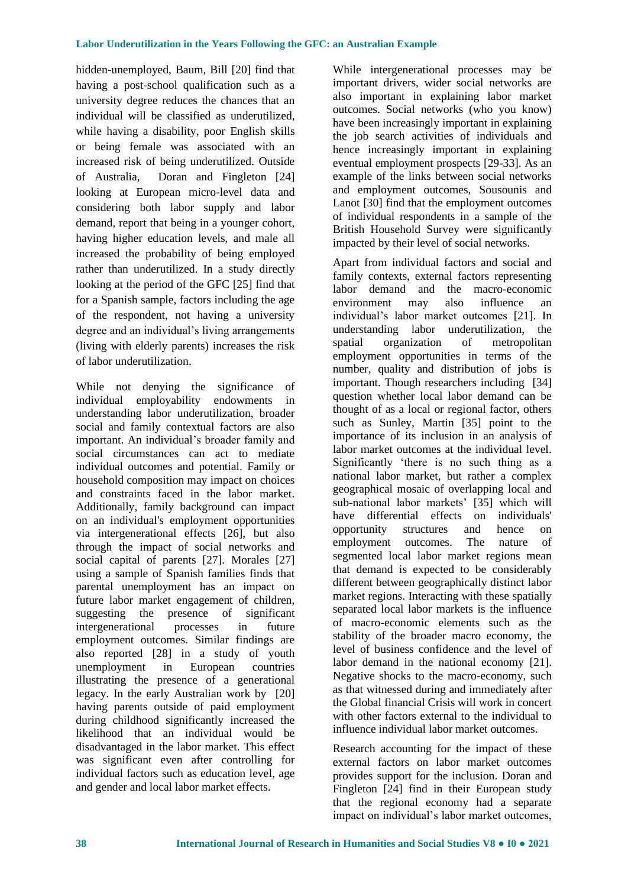hidden-unemployed, Baum, Bill [20] find that having a post-school qualification such as a university degree reduces the chances that an individual will be classified as underutilized, while having a disability, poor English skills or being female was associated with an increased risk of being underutilized. Outside of Australia, Doran and Fingleton [24] looking at European micro-level data and considering both labor supply and labor demand, report that being in a younger cohort, having higher education levels, and male all increased the probability of being employed rather than underutilized. In a study directly looking at the period of the GFC [25] find that for a Spanish sample, factors including the age of the respondent, not having a university degree and an individual's living arrangements (living with elderly parents) increases the risk of labor underutilization.

While not denying the significance of individual employability endowments in understanding labor underutilization, broader social and family contextual factors are also important. An individual's broader family and social circumstances can act to mediate individual outcomes and potential. Family or household composition may impact on choices and constraints faced in the labor market. Additionally, family background can impact on an individual's employment opportunities via intergenerational effects [26], but also through the impact of social networks and social capital of parents [27]. Morales [27] using a sample of Spanish families finds that parental unemployment has an impact on future labor market engagement of children, suggesting the presence of significant intergenerational processes in future employment outcomes. Similar findings are also reported [28] in a study of youth unemployment in European countries illustrating the presence of a generational legacy. In the early Australian work by [20] having parents outside of paid employment during childhood significantly increased the likelihood that an individual would be disadvantaged in the labor market. This effect was significant even after controlling for individual factors such as education level, age and gender and local labor market effects.

While intergenerational processes may be important drivers, wider social networks are also important in explaining labor market outcomes. Social networks (who you know) have been increasingly important in explaining the job search activities of individuals and hence increasingly important in explaining eventual employment prospects [29-33]. As an example of the links between social networks and employment outcomes, Sousounis and Lanot [30] find that the employment outcomes of individual respondents in a sample of the British Household Survey were significantly impacted by their level of social networks.

Apart from individual factors and social and family contexts, external factors representing labor demand and the macro-economic environment may also influence an individual's labor market outcomes [21]. In understanding labor underutilization, the spatial organization of metropolitan employment opportunities in terms of the number, quality and distribution of jobs is important. Though researchers including [34] question whether local labor demand can be thought of as a local or regional factor, others such as Sunley, Martin [35] point to the importance of its inclusion in an analysis of labor market outcomes at the individual level. Significantly 'there is no such thing as a national labor market, but rather a complex geographical mosaic of overlapping local and sub-national labor markets' [35] which will have differential effects on individuals' opportunity structures and hence on employment outcomes. The nature of segmented local labor market regions mean that demand is expected to be considerably different between geographically distinct labor market regions. Interacting with these spatially separated local labor markets is the influence of macro-economic elements such as the stability of the broader macro economy, the level of business confidence and the level of labor demand in the national economy [21]. Negative shocks to the macro-economy, such as that witnessed during and immediately after the Global financial Crisis will work in concert with other factors external to the individual to influence individual labor market outcomes.

Research accounting for the impact of these external factors on labor market outcomes provides support for the inclusion. Doran and Fingleton [24] find in their European study that the regional economy had a separate impact on individual's labor market outcomes,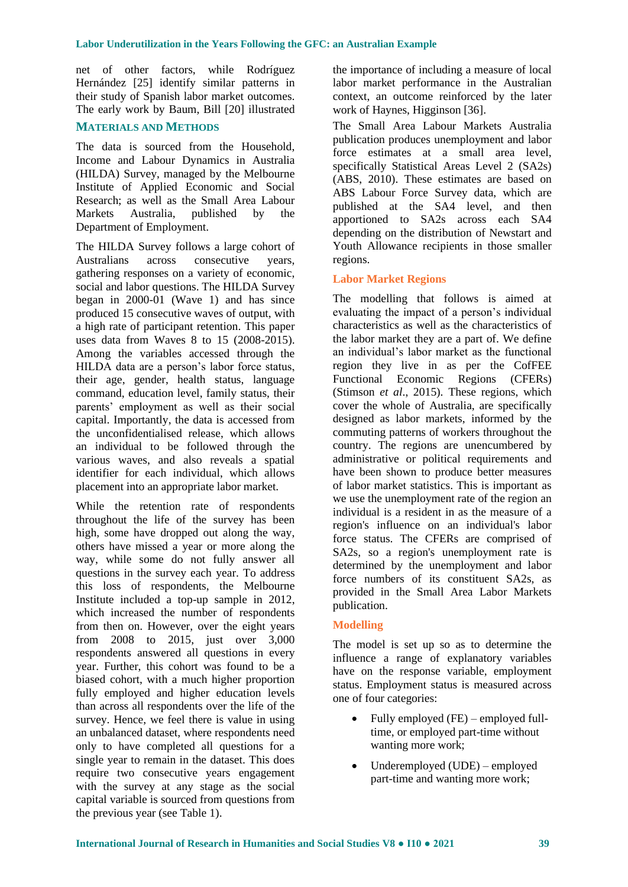net of other factors, while Rodríguez Hernández [25] identify similar patterns in their study of Spanish labor market outcomes. The early work by Baum, Bill [20] illustrated

# **MATERIALS AND METHODS**

The data is sourced from the Household, Income and Labour Dynamics in Australia (HILDA) Survey, managed by the Melbourne Institute of Applied Economic and Social Research; as well as the Small Area Labour Markets Australia, published by the Department of Employment.

The HILDA Survey follows a large cohort of Australians across consecutive years, gathering responses on a variety of economic, social and labor questions. The HILDA Survey began in 2000-01 (Wave 1) and has since produced 15 consecutive waves of output, with a high rate of participant retention. This paper uses data from Waves 8 to 15 (2008-2015). Among the variables accessed through the HILDA data are a person's labor force status, their age, gender, health status, language command, education level, family status, their parents' employment as well as their social capital. Importantly, the data is accessed from the unconfidentialised release, which allows an individual to be followed through the various waves, and also reveals a spatial identifier for each individual, which allows placement into an appropriate labor market.

While the retention rate of respondents throughout the life of the survey has been high, some have dropped out along the way, others have missed a year or more along the way, while some do not fully answer all questions in the survey each year. To address this loss of respondents, the Melbourne Institute included a top-up sample in 2012, which increased the number of respondents from then on. However, over the eight years from 2008 to 2015, just over 3,000 respondents answered all questions in every year. Further, this cohort was found to be a biased cohort, with a much higher proportion fully employed and higher education levels than across all respondents over the life of the survey. Hence, we feel there is value in using an unbalanced dataset, where respondents need only to have completed all questions for a single year to remain in the dataset. This does require two consecutive years engagement with the survey at any stage as the social capital variable is sourced from questions from the previous year (see Table 1).

the importance of including a measure of local labor market performance in the Australian context, an outcome reinforced by the later work of Haynes, Higginson [36].

The Small Area Labour Markets Australia publication produces unemployment and labor force estimates at a small area level, specifically Statistical Areas Level 2 (SA2s) (ABS, 2010). These estimates are based on ABS Labour Force Survey data, which are published at the SA4 level, and then apportioned to SA2s across each SA4 depending on the distribution of Newstart and Youth Allowance recipients in those smaller regions.

# **Labor Market Regions**

The modelling that follows is aimed at evaluating the impact of a person's individual characteristics as well as the characteristics of the labor market they are a part of. We define an individual's labor market as the functional region they live in as per the CofFEE Functional Economic Regions (CFERs) (Stimson *et al*., 2015). These regions, which cover the whole of Australia, are specifically designed as labor markets, informed by the commuting patterns of workers throughout the country. The regions are unencumbered by administrative or political requirements and have been shown to produce better measures of labor market statistics. This is important as we use the unemployment rate of the region an individual is a resident in as the measure of a region's influence on an individual's labor force status. The CFERs are comprised of SA2s, so a region's unemployment rate is determined by the unemployment and labor force numbers of its constituent SA2s, as provided in the Small Area Labor Markets publication.

# **Modelling**

The model is set up so as to determine the influence a range of explanatory variables have on the response variable, employment status. Employment status is measured across one of four categories:

- Fully employed (FE) employed fulltime, or employed part-time without wanting more work;
- Underemployed (UDE) employed part-time and wanting more work;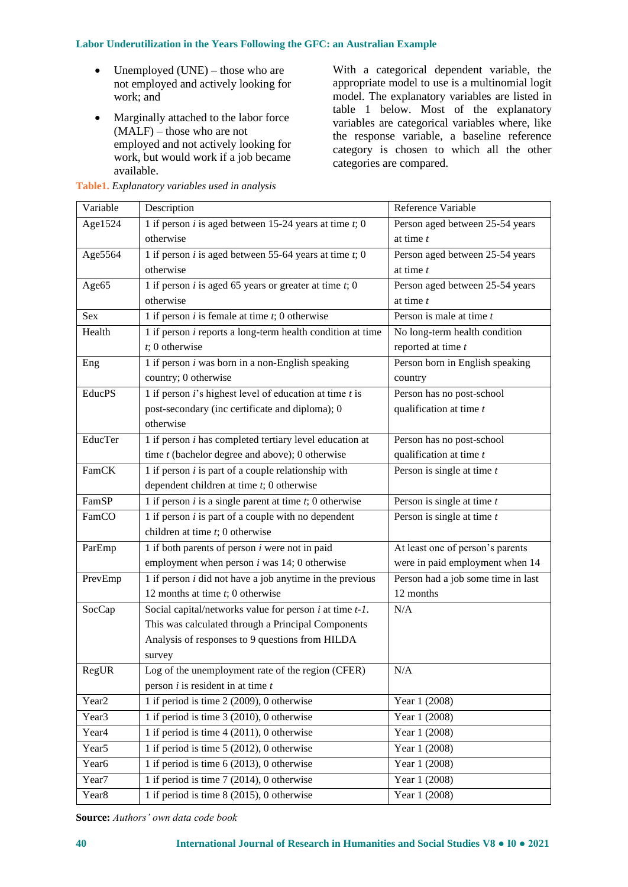- Unemployed (UNE) those who are not employed and actively looking for work; and
- Marginally attached to the labor force (MALF) – those who are not employed and not actively looking for work, but would work if a job became available.

With a categorical dependent variable, the appropriate model to use is a multinomial logit model. The explanatory variables are listed in table 1 below. Most of the explanatory variables are categorical variables where, like the response variable, a baseline reference category is chosen to which all the other categories are compared.

| Variable          | Description                                                  | Reference Variable                 |  |  |
|-------------------|--------------------------------------------------------------|------------------------------------|--|--|
| Age1524           | 1 if person $i$ is aged between 15-24 years at time $t$ ; 0  | Person aged between 25-54 years    |  |  |
|                   | otherwise                                                    | at time $t$                        |  |  |
| Age5564           | 1 if person $i$ is aged between 55-64 years at time $t$ ; 0  | Person aged between 25-54 years    |  |  |
|                   | otherwise                                                    | at time $t$                        |  |  |
| Age65             | 1 if person $i$ is aged 65 years or greater at time $t$ ; 0  | Person aged between 25-54 years    |  |  |
|                   | otherwise                                                    | at time $t$                        |  |  |
| Sex               | 1 if person $i$ is female at time $t$ ; 0 otherwise          | Person is male at time $t$         |  |  |
| Health            | 1 if person $i$ reports a long-term health condition at time | No long-term health condition      |  |  |
|                   | $t$ ; 0 otherwise                                            | reported at time t                 |  |  |
| Eng               | 1 if person $i$ was born in a non-English speaking           | Person born in English speaking    |  |  |
|                   | country; 0 otherwise                                         | country                            |  |  |
| <b>EducPS</b>     | 1 if person $i$ 's highest level of education at time $t$ is | Person has no post-school          |  |  |
|                   | post-secondary (inc certificate and diploma); 0              | qualification at time t            |  |  |
|                   | otherwise                                                    |                                    |  |  |
| EducTer           | 1 if person $i$ has completed tertiary level education at    | Person has no post-school          |  |  |
|                   | time $t$ (bachelor degree and above); 0 otherwise            | qualification at time t            |  |  |
| FamCK             | 1 if person $i$ is part of a couple relationship with        | Person is single at time $t$       |  |  |
|                   | dependent children at time $t$ ; 0 otherwise                 |                                    |  |  |
| FamSP             | 1 if person $i$ is a single parent at time $t$ ; 0 otherwise | Person is single at time $t$       |  |  |
| FamCO             | 1 if person $i$ is part of a couple with no dependent        | Person is single at time $t$       |  |  |
|                   | children at time $t$ ; 0 otherwise                           |                                    |  |  |
| ParEmp            | 1 if both parents of person $i$ were not in paid             | At least one of person's parents   |  |  |
|                   | employment when person $i$ was 14; 0 otherwise               | were in paid employment when 14    |  |  |
| PrevEmp           | 1 if person $i$ did not have a job anytime in the previous   | Person had a job some time in last |  |  |
|                   | 12 months at time $t$ ; 0 otherwise                          | 12 months                          |  |  |
| SocCap            | Social capital/networks value for person $i$ at time $t-1$ . | N/A                                |  |  |
|                   | This was calculated through a Principal Components           |                                    |  |  |
|                   | Analysis of responses to 9 questions from HILDA              |                                    |  |  |
|                   | survey                                                       |                                    |  |  |
| RegUR             | Log of the unemployment rate of the region (CFER)            | N/A                                |  |  |
|                   | person $i$ is resident in at time $t$                        |                                    |  |  |
| Year <sub>2</sub> | 1 if period is time $2(2009)$ , 0 otherwise                  | Year 1 (2008)                      |  |  |
| Year <sub>3</sub> | $\overline{1}$ if period is time 3 (2010), 0 otherwise       | Year 1 (2008)                      |  |  |
| Year <sub>4</sub> | 1 if period is time 4 (2011), 0 otherwise                    | Year 1 (2008)                      |  |  |
| Year <sub>5</sub> | 1 if period is time $5(2012)$ , 0 otherwise                  | Year 1 (2008)                      |  |  |
| Year <sub>6</sub> | 1 if period is time $6(2013)$ , 0 otherwise                  | Year 1 (2008)                      |  |  |
| Year7             | 1 if period is time $7(2014)$ , 0 otherwise                  | Year $1(2008)$                     |  |  |
| Year <sub>8</sub> | 1 if period is time $8(2015)$ , 0 otherwise                  | Year 1 (2008)                      |  |  |

# **Table1.** *Explanatory variables used in analysis*

**Source:** *Authors' own data code book*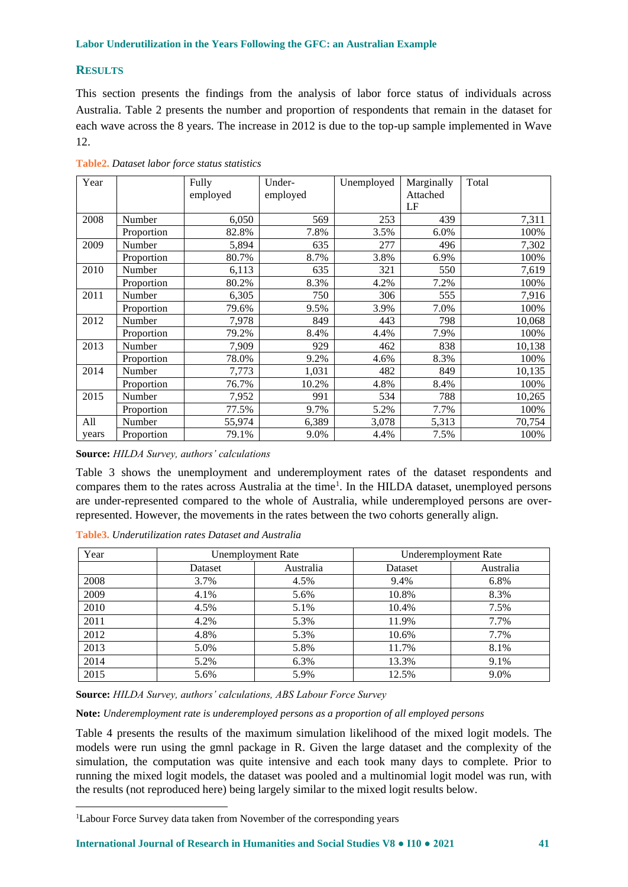## **RESULTS**

This section presents the findings from the analysis of labor force status of individuals across Australia. Table 2 presents the number and proportion of respondents that remain in the dataset for each wave across the 8 years. The increase in 2012 is due to the top-up sample implemented in Wave 12.

| Year  |            | Fully    | Under-   | Unemployed | Marginally | Total  |
|-------|------------|----------|----------|------------|------------|--------|
|       |            | employed | employed |            | Attached   |        |
|       |            |          |          |            | LF         |        |
| 2008  | Number     | 6,050    | 569      | 253        | 439        | 7,311  |
|       | Proportion | 82.8%    | 7.8%     | 3.5%       | 6.0%       | 100%   |
| 2009  | Number     | 5,894    | 635      | 277        | 496        | 7,302  |
|       | Proportion | 80.7%    | 8.7%     | 3.8%       | 6.9%       | 100%   |
| 2010  | Number     | 6,113    | 635      | 321        | 550        | 7,619  |
|       | Proportion | 80.2%    | 8.3%     | 4.2%       | 7.2%       | 100%   |
| 2011  | Number     | 6,305    | 750      | 306        | 555        | 7,916  |
|       | Proportion | 79.6%    | 9.5%     | 3.9%       | 7.0%       | 100%   |
| 2012  | Number     | 7,978    | 849      | 443        | 798        | 10,068 |
|       | Proportion | 79.2%    | 8.4%     | 4.4%       | 7.9%       | 100%   |
| 2013  | Number     | 7,909    | 929      | 462        | 838        | 10,138 |
|       | Proportion | 78.0%    | 9.2%     | 4.6%       | 8.3%       | 100%   |
| 2014  | Number     | 7,773    | 1,031    | 482        | 849        | 10,135 |
|       | Proportion | 76.7%    | 10.2%    | 4.8%       | 8.4%       | 100%   |
| 2015  | Number     | 7,952    | 991      | 534        | 788        | 10,265 |
|       | Proportion | 77.5%    | 9.7%     | 5.2%       | 7.7%       | 100%   |
| All   | Number     | 55,974   | 6,389    | 3,078      | 5,313      | 70,754 |
| years | Proportion | 79.1%    | 9.0%     | 4.4%       | 7.5%       | 100%   |

**Table2.** *Dataset labor force status statistics*

**Source:** *HILDA Survey, authors' calculations*

Table 3 shows the unemployment and underemployment rates of the dataset respondents and compares them to the rates across Australia at the time<sup>1</sup>. In the HILDA dataset, unemployed persons are under-represented compared to the whole of Australia, while underemployed persons are overrepresented. However, the movements in the rates between the two cohorts generally align.

**Table3.** *Underutilization rates Dataset and Australia*

| Year | Unemployment Rate |           | Underemployment Rate |           |  |
|------|-------------------|-----------|----------------------|-----------|--|
|      | Dataset           | Australia | Dataset              | Australia |  |
| 2008 | 3.7%              | 4.5%      | 9.4%                 | 6.8%      |  |
| 2009 | 4.1%              | 5.6%      | 10.8%                | 8.3%      |  |
| 2010 | 4.5%              | 5.1%      | 10.4%                | 7.5%      |  |
| 2011 | 4.2%              | 5.3%      | 11.9%                | 7.7%      |  |
| 2012 | 4.8%              | 5.3%      | 10.6%                | 7.7%      |  |
| 2013 | 5.0%              | 5.8%      | 11.7%                | 8.1%      |  |
| 2014 | 5.2%              | 6.3%      | 13.3%                | 9.1%      |  |
| 2015 | 5.6%              | 5.9%      | 12.5%                | 9.0%      |  |

**Source:** *HILDA Survey, authors' calculations, ABS Labour Force Survey*

**Note:** *Underemployment rate is underemployed persons as a proportion of all employed persons*

Table 4 presents the results of the maximum simulation likelihood of the mixed logit models. The models were run using the gmnl package in R. Given the large dataset and the complexity of the simulation, the computation was quite intensive and each took many days to complete. Prior to running the mixed logit models, the dataset was pooled and a multinomial logit model was run, with the results (not reproduced here) being largely similar to the mixed logit results below.

**International Journal of Research in Humanities and Social Studies V8 ● I10 ● 2021 41**

<sup>&</sup>lt;sup>1</sup>Labour Force Survey data taken from November of the corresponding years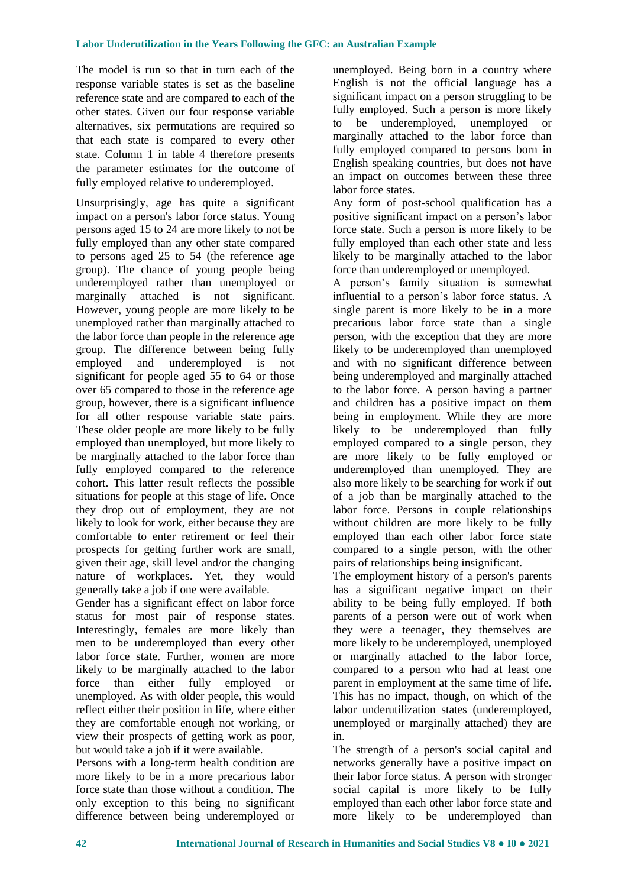The model is run so that in turn each of the response variable states is set as the baseline reference state and are compared to each of the other states. Given our four response variable alternatives, six permutations are required so that each state is compared to every other state. Column 1 in table 4 therefore presents the parameter estimates for the outcome of fully employed relative to underemployed.

Unsurprisingly, age has quite a significant impact on a person's labor force status. Young persons aged 15 to 24 are more likely to not be fully employed than any other state compared to persons aged 25 to 54 (the reference age group). The chance of young people being underemployed rather than unemployed or marginally attached is not significant. However, young people are more likely to be unemployed rather than marginally attached to the labor force than people in the reference age group. The difference between being fully employed and underemployed is not significant for people aged 55 to 64 or those over 65 compared to those in the reference age group, however, there is a significant influence for all other response variable state pairs. These older people are more likely to be fully employed than unemployed, but more likely to be marginally attached to the labor force than fully employed compared to the reference cohort. This latter result reflects the possible situations for people at this stage of life. Once they drop out of employment, they are not likely to look for work, either because they are comfortable to enter retirement or feel their prospects for getting further work are small, given their age, skill level and/or the changing nature of workplaces. Yet, they would generally take a job if one were available.

Gender has a significant effect on labor force status for most pair of response states. Interestingly, females are more likely than men to be underemployed than every other labor force state. Further, women are more likely to be marginally attached to the labor force than either fully employed or unemployed. As with older people, this would reflect either their position in life, where either they are comfortable enough not working, or view their prospects of getting work as poor, but would take a job if it were available.

Persons with a long-term health condition are more likely to be in a more precarious labor force state than those without a condition. The only exception to this being no significant difference between being underemployed or unemployed. Being born in a country where English is not the official language has a significant impact on a person struggling to be fully employed. Such a person is more likely to be underemployed, unemployed or marginally attached to the labor force than fully employed compared to persons born in English speaking countries, but does not have an impact on outcomes between these three labor force states.

Any form of post-school qualification has a positive significant impact on a person's labor force state. Such a person is more likely to be fully employed than each other state and less likely to be marginally attached to the labor force than underemployed or unemployed.

A person's family situation is somewhat influential to a person's labor force status. A single parent is more likely to be in a more precarious labor force state than a single person, with the exception that they are more likely to be underemployed than unemployed and with no significant difference between being underemployed and marginally attached to the labor force. A person having a partner and children has a positive impact on them being in employment. While they are more likely to be underemployed than fully employed compared to a single person, they are more likely to be fully employed or underemployed than unemployed. They are also more likely to be searching for work if out of a job than be marginally attached to the labor force. Persons in couple relationships without children are more likely to be fully employed than each other labor force state compared to a single person, with the other pairs of relationships being insignificant.

The employment history of a person's parents has a significant negative impact on their ability to be being fully employed. If both parents of a person were out of work when they were a teenager, they themselves are more likely to be underemployed, unemployed or marginally attached to the labor force, compared to a person who had at least one parent in employment at the same time of life. This has no impact, though, on which of the labor underutilization states (underemployed, unemployed or marginally attached) they are in.

The strength of a person's social capital and networks generally have a positive impact on their labor force status. A person with stronger social capital is more likely to be fully employed than each other labor force state and more likely to be underemployed than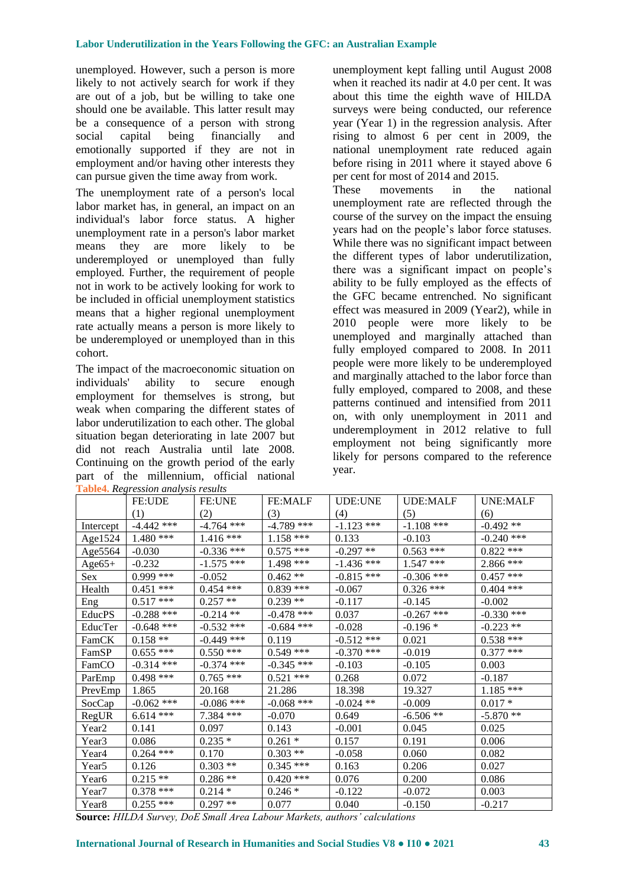unemployed. However, such a person is more likely to not actively search for work if they are out of a job, but be willing to take one should one be available. This latter result may be a consequence of a person with strong social capital being financially and emotionally supported if they are not in employment and/or having other interests they can pursue given the time away from work.

The unemployment rate of a person's local labor market has, in general, an impact on an individual's labor force status. A higher unemployment rate in a person's labor market means they are more likely to be underemployed or unemployed than fully employed. Further, the requirement of people not in work to be actively looking for work to be included in official unemployment statistics means that a higher regional unemployment rate actually means a person is more likely to be underemployed or unemployed than in this cohort.

The impact of the macroeconomic situation on individuals' ability to secure enough employment for themselves is strong, but weak when comparing the different states of labor underutilization to each other. The global situation began deteriorating in late 2007 but did not reach Australia until late 2008. Continuing on the growth period of the early part of the millennium, official national **Table4.** *Regression analysis results*

unemployment kept falling until August 2008 when it reached its nadir at 4.0 per cent. It was about this time the eighth wave of HILDA surveys were being conducted, our reference year (Year 1) in the regression analysis. After rising to almost 6 per cent in 2009, the national unemployment rate reduced again before rising in 2011 where it stayed above 6 per cent for most of 2014 and 2015.

These movements in the national unemployment rate are reflected through the course of the survey on the impact the ensuing years had on the people's labor force statuses. While there was no significant impact between the different types of labor underutilization, there was a significant impact on people's ability to be fully employed as the effects of the GFC became entrenched. No significant effect was measured in 2009 (Year2), while in 2010 people were more likely to be unemployed and marginally attached than fully employed compared to 2008. In 2011 people were more likely to be underemployed and marginally attached to the labor force than fully employed, compared to 2008, and these patterns continued and intensified from 2011 on, with only unemployment in 2011 and underemployment in 2012 relative to full employment not being significantly more likely for persons compared to the reference year.

|                   | <b>FE:UDE</b> | <b>FE:UNE</b> | <b>FE:MALF</b> | UDE:UNE      | <b>UDE:MALF</b> | <b>UNE:MALF</b> |
|-------------------|---------------|---------------|----------------|--------------|-----------------|-----------------|
|                   | (1)           | (2)           | (3)            | (4)          | (5)             | (6)             |
| Intercept         | $-4.442$ ***  | $-4.764$ ***  | $-4.789$ ***   | $-1.123$ *** | $-1.108$ ***    | $-0.492**$      |
| Age1524           | $1.480$ ***   | $1.416***$    | $1.158$ ***    | 0.133        | $-0.103$        | $-0.240$ ***    |
| Age5564           | $-0.030$      | $-0.336$ ***  | $0.575$ ***    | $-0.297**$   | $0.563$ ***     | $0.822$ ***     |
| $Age65+$          | $-0.232$      | $-1.575$ ***  | $1.498$ ***    | $-1.436$ *** | $1.547$ ***     | $2.866$ ***     |
| <b>Sex</b>        | $0.999$ ***   | $-0.052$      | $0.462**$      | $-0.815$ *** | $-0.306$ ***    | $0.457$ ***     |
| Health            | $0.451$ ***   | $0.454$ ***   | $0.839$ ***    | $-0.067$     | $0.326$ ***     | $0.404$ ***     |
| Eng               | $0.517$ ***   | $0.257**$     | $0.239**$      | $-0.117$     | $-0.145$        | $-0.002$        |
| EducPS            | $-0.288$ ***  | $-0.214$ **   | $-0.478$ ***   | 0.037        | $-0.267$ ***    | $-0.330$ ***    |
| EducTer           | $-0.648$ ***  | $-0.532$ ***  | $-0.684$ ***   | $-0.028$     | $-0.196*$       | $-0.223$ **     |
| FamCK             | $0.158**$     | $-0.449$ ***  | 0.119          | $-0.512$ *** | 0.021           | $0.538$ ***     |
| FamSP             | $0.655***$    | $0.550***$    | $0.549$ ***    | $-0.370$ *** | $-0.019$        | $0.377$ ***     |
| FamCO             | $-0.314$ ***  | $-0.374$ ***  | $-0.345$ ***   | $-0.103$     | $-0.105$        | 0.003           |
| ParEmp            | $0.498$ ***   | $0.765***$    | $0.521$ ***    | 0.268        | 0.072           | $-0.187$        |
| PrevEmp           | 1.865         | 20.168        | 21.286         | 18.398       | 19.327          | $1.185$ ***     |
| SocCap            | $-0.062$ ***  | $-0.086$ ***  | $-0.068$ ***   | $-0.024$ **  | $-0.009$        | $0.017 *$       |
| RegUR             | $6.614***$    | 7.384 ***     | $-0.070$       | 0.649        | $-6.506**$      | $-5.870**$      |
| Year2             | 0.141         | 0.097         | 0.143          | $-0.001$     | 0.045           | 0.025           |
| Year3             | 0.086         | $0.235*$      | $0.261 *$      | 0.157        | 0.191           | 0.006           |
| Year4             | $0.264$ ***   | 0.170         | $0.303**$      | $-0.058$     | 0.060           | 0.082           |
| Year5             | 0.126         | $0.303**$     | $0.345$ ***    | 0.163        | 0.206           | 0.027           |
| Year <sub>6</sub> | $0.215**$     | $0.286**$     | $0.420$ ***    | 0.076        | 0.200           | 0.086           |
| Year7             | $0.378$ ***   | $0.214*$      | $0.246*$       | $-0.122$     | $-0.072$        | 0.003           |
| Year8             | $0.255$ ***   | $0.297**$     | 0.077          | 0.040        | $-0.150$        | $-0.217$        |

**Source:** *HILDA Survey, DoE Small Area Labour Markets, authors' calculations*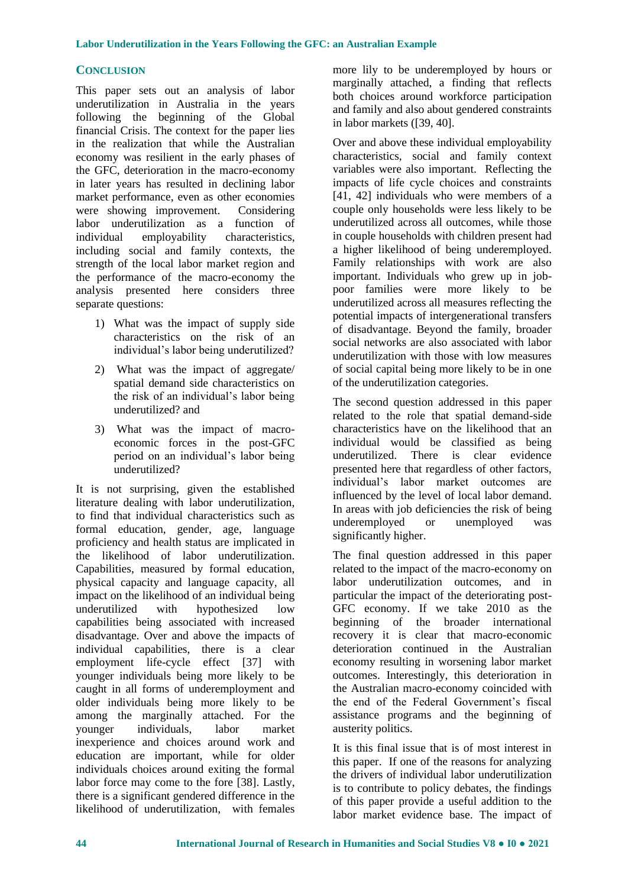# **CONCLUSION**

This paper sets out an analysis of labor underutilization in Australia in the years following the beginning of the Global financial Crisis. The context for the paper lies in the realization that while the Australian economy was resilient in the early phases of the GFC, deterioration in the macro-economy in later years has resulted in declining labor market performance, even as other economies were showing improvement. Considering labor underutilization as a function of individual employability characteristics, including social and family contexts, the strength of the local labor market region and the performance of the macro-economy the analysis presented here considers three separate questions:

- 1) What was the impact of supply side characteristics on the risk of an individual's labor being underutilized?
- 2) What was the impact of aggregate/ spatial demand side characteristics on the risk of an individual's labor being underutilized? and
- 3) What was the impact of macroeconomic forces in the post-GFC period on an individual's labor being underutilized?

It is not surprising, given the established literature dealing with labor underutilization, to find that individual characteristics such as formal education, gender, age, language proficiency and health status are implicated in the likelihood of labor underutilization. Capabilities, measured by formal education, physical capacity and language capacity, all impact on the likelihood of an individual being underutilized with hypothesized low capabilities being associated with increased disadvantage. Over and above the impacts of individual capabilities, there is a clear employment life-cycle effect [37] with younger individuals being more likely to be caught in all forms of underemployment and older individuals being more likely to be among the marginally attached. For the younger individuals, labor market inexperience and choices around work and education are important, while for older individuals choices around exiting the formal labor force may come to the fore [38]. Lastly, there is a significant gendered difference in the likelihood of underutilization, with females

more lily to be underemployed by hours or marginally attached, a finding that reflects both choices around workforce participation and family and also about gendered constraints in labor markets ([39, 40].

Over and above these individual employability characteristics, social and family context variables were also important. Reflecting the impacts of life cycle choices and constraints [41, 42] individuals who were members of a couple only households were less likely to be underutilized across all outcomes, while those in couple households with children present had a higher likelihood of being underemployed. Family relationships with work are also important. Individuals who grew up in jobpoor families were more likely to be underutilized across all measures reflecting the potential impacts of intergenerational transfers of disadvantage. Beyond the family, broader social networks are also associated with labor underutilization with those with low measures of social capital being more likely to be in one of the underutilization categories.

The second question addressed in this paper related to the role that spatial demand-side characteristics have on the likelihood that an individual would be classified as being underutilized. There is clear evidence presented here that regardless of other factors, individual's labor market outcomes are influenced by the level of local labor demand. In areas with job deficiencies the risk of being underemployed or unemployed was significantly higher.

The final question addressed in this paper related to the impact of the macro-economy on labor underutilization outcomes, and in particular the impact of the deteriorating post-GFC economy. If we take 2010 as the beginning of the broader international recovery it is clear that macro-economic deterioration continued in the Australian economy resulting in worsening labor market outcomes. Interestingly, this deterioration in the Australian macro-economy coincided with the end of the Federal Government's fiscal assistance programs and the beginning of austerity politics.

It is this final issue that is of most interest in this paper. If one of the reasons for analyzing the drivers of individual labor underutilization is to contribute to policy debates, the findings of this paper provide a useful addition to the labor market evidence base. The impact of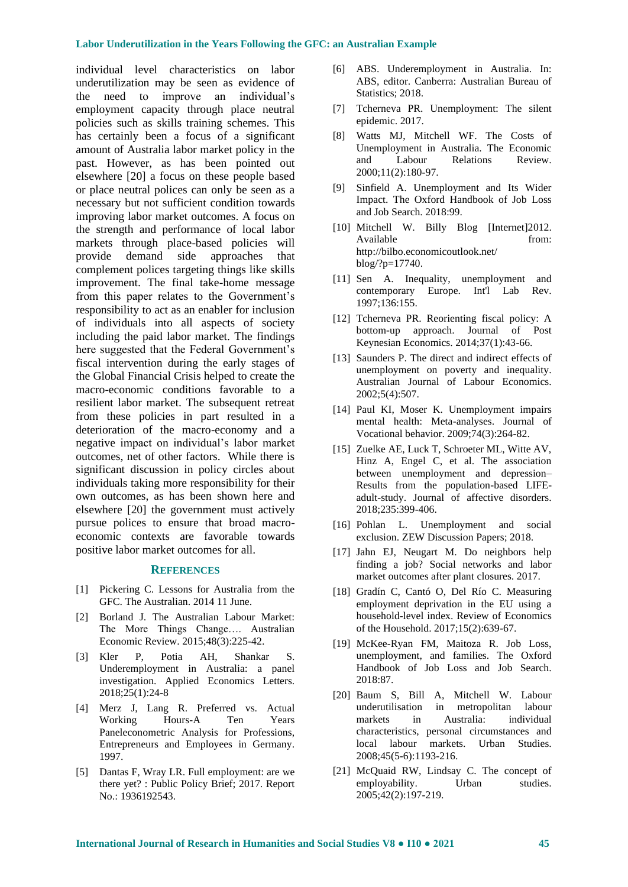individual level characteristics on labor underutilization may be seen as evidence of the need to improve an individual's employment capacity through place neutral policies such as skills training schemes. This has certainly been a focus of a significant amount of Australia labor market policy in the past. However, as has been pointed out elsewhere [20] a focus on these people based or place neutral polices can only be seen as a necessary but not sufficient condition towards improving labor market outcomes. A focus on the strength and performance of local labor markets through place-based policies will provide demand side approaches that complement polices targeting things like skills improvement. The final take-home message from this paper relates to the Government's responsibility to act as an enabler for inclusion of individuals into all aspects of society including the paid labor market. The findings here suggested that the Federal Government's fiscal intervention during the early stages of the Global Financial Crisis helped to create the macro-economic conditions favorable to a resilient labor market. The subsequent retreat from these policies in part resulted in a deterioration of the macro-economy and a negative impact on individual's labor market outcomes, net of other factors. While there is significant discussion in policy circles about individuals taking more responsibility for their own outcomes, as has been shown here and elsewhere [20] the government must actively pursue polices to ensure that broad macroeconomic contexts are favorable towards positive labor market outcomes for all.

#### **REFERENCES**

- [1] Pickering C. Lessons for Australia from the GFC. The Australian. 2014 11 June.
- [2] Borland J. The Australian Labour Market: The More Things Change…. Australian Economic Review. 2015;48(3):225-42.
- [3] Kler P, Potia AH, Shankar S. Underemployment in Australia: a panel investigation. Applied Economics Letters. 2018;25(1):24-8
- [4] Merz J, Lang R. Preferred vs. Actual Working Hours-A Ten Years Paneleconometric Analysis for Professions, Entrepreneurs and Employees in Germany. 1997.
- [5] Dantas F, Wray LR. Full employment: are we there yet? : Public Policy Brief; 2017. Report No.: 1936192543.
- [6] ABS. Underemployment in Australia. In: ABS, editor. Canberra: Australian Bureau of Statistics; 2018.
- [7] Tcherneva PR. Unemployment: The silent epidemic. 2017.
- [8] Watts MJ, Mitchell WF. The Costs of Unemployment in Australia. The Economic and Labour Relations Review. 2000;11(2):180-97.
- [9] Sinfield A. Unemployment and Its Wider Impact. The Oxford Handbook of Job Loss and Job Search. 2018:99.
- [10] Mitchell W. Billy Blog [Internet]2012. Available from: [http://bilbo.economicoutlook.net/](http://bilbo.economicoutlook.net/%20blog/?p=17740)  [blog/?p=17740.](http://bilbo.economicoutlook.net/%20blog/?p=17740)
- [11] Sen A. Inequality, unemployment and contemporary Europe. Int'l Lab Rev. 1997;136:155.
- [12] Tcherneva PR. Reorienting fiscal policy: A bottom-up approach. Journal of Post Keynesian Economics. 2014;37(1):43-66.
- [13] Saunders P. The direct and indirect effects of unemployment on poverty and inequality. Australian Journal of Labour Economics. 2002;5(4):507.
- [14] Paul KI, Moser K. Unemployment impairs mental health: Meta-analyses. Journal of Vocational behavior. 2009;74(3):264-82.
- [15] Zuelke AE, Luck T, Schroeter ML, Witte AV, Hinz A, Engel C, et al. The association between unemployment and depression– Results from the population-based LIFEadult-study. Journal of affective disorders. 2018;235:399-406.
- [16] Pohlan L. Unemployment and social exclusion. ZEW Discussion Papers; 2018.
- [17] Jahn EJ, Neugart M. Do neighbors help finding a job? Social networks and labor market outcomes after plant closures. 2017.
- [18] Gradín C, Cantó O, Del Río C. Measuring employment deprivation in the EU using a household-level index. Review of Economics of the Household. 2017;15(2):639-67.
- [19] McKee-Ryan FM, Maitoza R. Job Loss, unemployment, and families. The Oxford Handbook of Job Loss and Job Search. 2018:87.
- [20] Baum S, Bill A, Mitchell W. Labour underutilisation in metropolitan labour markets in Australia: individual characteristics, personal circumstances and local labour markets. Urban Studies. 2008;45(5-6):1193-216.
- [21] McQuaid RW, Lindsay C. The concept of employability. Urban studies. 2005;42(2):197-219.